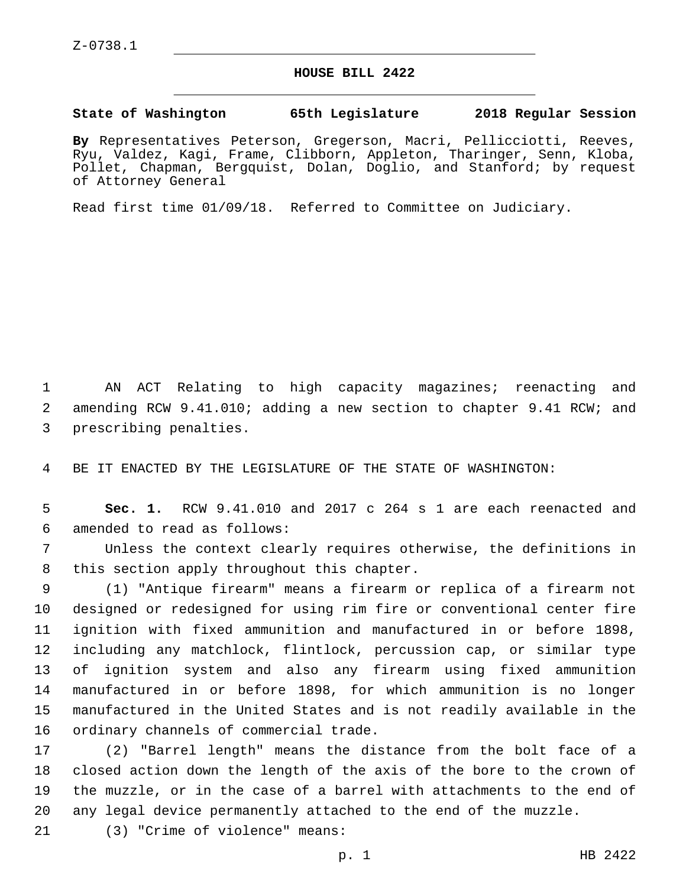## **HOUSE BILL 2422**

## **State of Washington 65th Legislature 2018 Regular Session**

**By** Representatives Peterson, Gregerson, Macri, Pellicciotti, Reeves, Ryu, Valdez, Kagi, Frame, Clibborn, Appleton, Tharinger, Senn, Kloba, Pollet, Chapman, Bergquist, Dolan, Doglio, and Stanford; by request of Attorney General

Read first time 01/09/18. Referred to Committee on Judiciary.

1 AN ACT Relating to high capacity magazines; reenacting and 2 amending RCW 9.41.010; adding a new section to chapter 9.41 RCW; and 3 prescribing penalties.

4 BE IT ENACTED BY THE LEGISLATURE OF THE STATE OF WASHINGTON:

5 **Sec. 1.** RCW 9.41.010 and 2017 c 264 s 1 are each reenacted and 6 amended to read as follows:

7 Unless the context clearly requires otherwise, the definitions in 8 this section apply throughout this chapter.

 (1) "Antique firearm" means a firearm or replica of a firearm not designed or redesigned for using rim fire or conventional center fire ignition with fixed ammunition and manufactured in or before 1898, including any matchlock, flintlock, percussion cap, or similar type of ignition system and also any firearm using fixed ammunition manufactured in or before 1898, for which ammunition is no longer manufactured in the United States and is not readily available in the 16 ordinary channels of commercial trade.

 (2) "Barrel length" means the distance from the bolt face of a closed action down the length of the axis of the bore to the crown of the muzzle, or in the case of a barrel with attachments to the end of any legal device permanently attached to the end of the muzzle.

(3) "Crime of violence" means:21

p. 1 HB 2422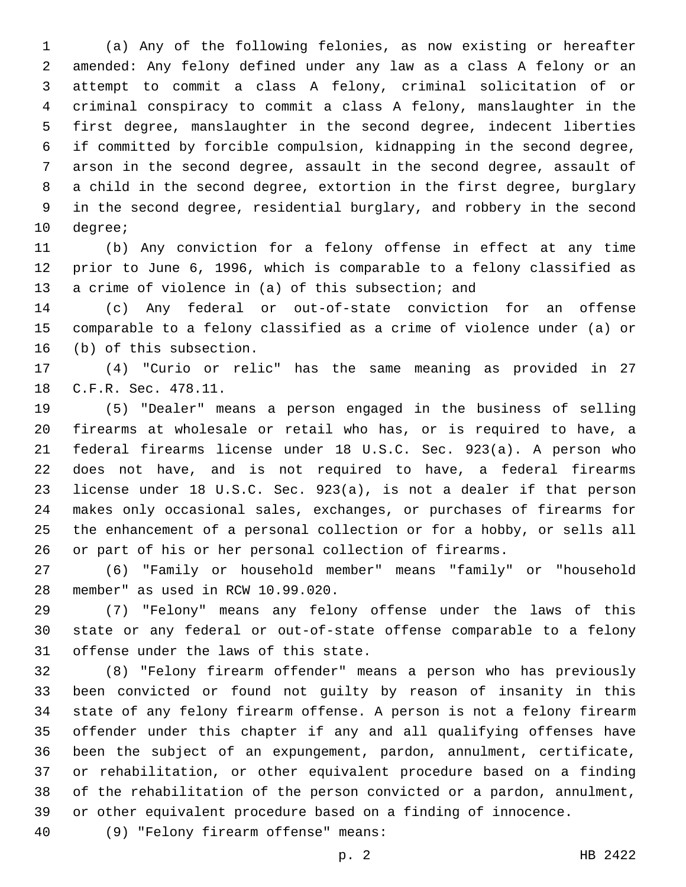(a) Any of the following felonies, as now existing or hereafter amended: Any felony defined under any law as a class A felony or an attempt to commit a class A felony, criminal solicitation of or criminal conspiracy to commit a class A felony, manslaughter in the first degree, manslaughter in the second degree, indecent liberties if committed by forcible compulsion, kidnapping in the second degree, arson in the second degree, assault in the second degree, assault of a child in the second degree, extortion in the first degree, burglary in the second degree, residential burglary, and robbery in the second 10 degree;

 (b) Any conviction for a felony offense in effect at any time prior to June 6, 1996, which is comparable to a felony classified as a crime of violence in (a) of this subsection; and

 (c) Any federal or out-of-state conviction for an offense comparable to a felony classified as a crime of violence under (a) or 16 (b) of this subsection.

 (4) "Curio or relic" has the same meaning as provided in 27 18 C.F.R. Sec. 478.11.

 (5) "Dealer" means a person engaged in the business of selling firearms at wholesale or retail who has, or is required to have, a federal firearms license under 18 U.S.C. Sec. 923(a). A person who does not have, and is not required to have, a federal firearms license under 18 U.S.C. Sec. 923(a), is not a dealer if that person makes only occasional sales, exchanges, or purchases of firearms for the enhancement of a personal collection or for a hobby, or sells all or part of his or her personal collection of firearms.

 (6) "Family or household member" means "family" or "household 28 member" as used in RCW 10.99.020.

 (7) "Felony" means any felony offense under the laws of this state or any federal or out-of-state offense comparable to a felony 31 offense under the laws of this state.

 (8) "Felony firearm offender" means a person who has previously been convicted or found not guilty by reason of insanity in this state of any felony firearm offense. A person is not a felony firearm offender under this chapter if any and all qualifying offenses have been the subject of an expungement, pardon, annulment, certificate, or rehabilitation, or other equivalent procedure based on a finding of the rehabilitation of the person convicted or a pardon, annulment, or other equivalent procedure based on a finding of innocence.

(9) "Felony firearm offense" means:40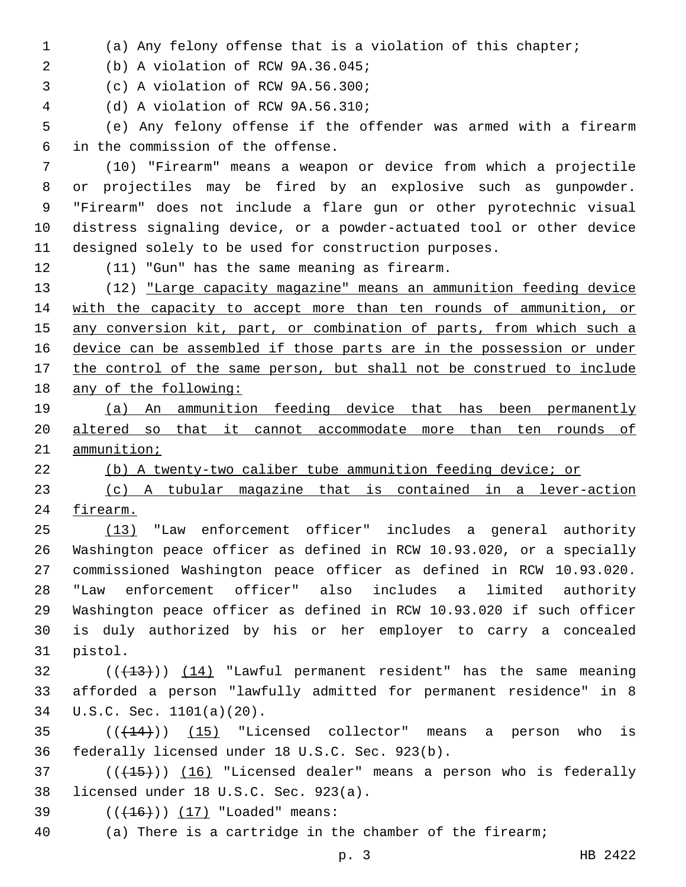- (a) Any felony offense that is a violation of this chapter;
- 2 (b) A violation of RCW 9A.36.045;
- 3 (c) A violation of RCW 9A.56.300;
- (d) A violation of RCW 9A.56.310;4

 (e) Any felony offense if the offender was armed with a firearm 6 in the commission of the offense.

 (10) "Firearm" means a weapon or device from which a projectile or projectiles may be fired by an explosive such as gunpowder. "Firearm" does not include a flare gun or other pyrotechnic visual distress signaling device, or a powder-actuated tool or other device designed solely to be used for construction purposes.

12 (11) "Gun" has the same meaning as firearm.

 (12) "Large capacity magazine" means an ammunition feeding device with the capacity to accept more than ten rounds of ammunition, or 15 any conversion kit, part, or combination of parts, from which such a device can be assembled if those parts are in the possession or under 17 the control of the same person, but shall not be construed to include any of the following:

 (a) An ammunition feeding device that has been permanently 20 altered so that it cannot accommodate more than ten rounds of ammunition;

(b) A twenty-two caliber tube ammunition feeding device; or

 (c) A tubular magazine that is contained in a lever-action 24 firearm.

 (13) "Law enforcement officer" includes a general authority Washington peace officer as defined in RCW 10.93.020, or a specially commissioned Washington peace officer as defined in RCW 10.93.020. "Law enforcement officer" also includes a limited authority Washington peace officer as defined in RCW 10.93.020 if such officer is duly authorized by his or her employer to carry a concealed 31 pistol.

 (( $+13$ ))) (14) "Lawful permanent resident" has the same meaning afforded a person "lawfully admitted for permanent residence" in 8 U.S.C. Sec. 1101(a)(20).34

  $((+14))$   $(15)$  "Licensed collector" means a person who is 36 federally licensed under 18 U.S.C. Sec. 923(b).

 ( $(\overline{+15})$ )  $(16)$  "Licensed dealer" means a person who is federally 38 licensed under 18 U.S.C. Sec. 923(a).

39 (((+16))) (17) "Loaded" means:

(a) There is a cartridge in the chamber of the firearm;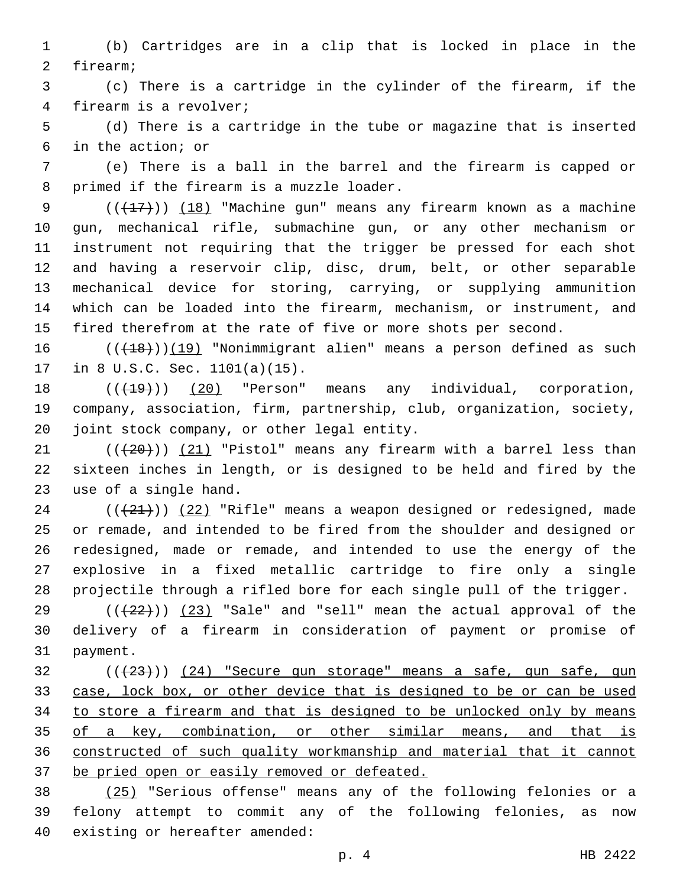(b) Cartridges are in a clip that is locked in place in the 2 firearm;

 (c) There is a cartridge in the cylinder of the firearm, if the 4 firearm is a revolver;

 (d) There is a cartridge in the tube or magazine that is inserted in the action; or6

 (e) There is a ball in the barrel and the firearm is capped or 8 primed if the firearm is a muzzle loader.

 $((+17))$   $(18)$  "Machine gun" means any firearm known as a machine gun, mechanical rifle, submachine gun, or any other mechanism or instrument not requiring that the trigger be pressed for each shot and having a reservoir clip, disc, drum, belt, or other separable mechanical device for storing, carrying, or supplying ammunition which can be loaded into the firearm, mechanism, or instrument, and fired therefrom at the rate of five or more shots per second.

16  $((+18))$  (19) "Nonimmigrant alien" means a person defined as such 17 in 8 U.S.C. Sec. 1101(a)(15).

18  $((+19))$  (20) "Person" means any individual, corporation, company, association, firm, partnership, club, organization, society, 20 joint stock company, or other legal entity.

 ( $(420)$ ))  $(21)$  "Pistol" means any firearm with a barrel less than sixteen inches in length, or is designed to be held and fired by the 23 use of a single hand.

 ( $(\frac{21}{2})$ ) (22) "Rifle" means a weapon designed or redesigned, made or remade, and intended to be fired from the shoulder and designed or redesigned, made or remade, and intended to use the energy of the explosive in a fixed metallic cartridge to fire only a single projectile through a rifled bore for each single pull of the trigger.

 $((+22))$   $(23)$  "Sale" and "sell" mean the actual approval of the delivery of a firearm in consideration of payment or promise of 31 payment.

32 (( $(23)$ )) (24) "Secure gun storage" means a safe, gun safe, gun case, lock box, or other device that is designed to be or can be used to store a firearm and that is designed to be unlocked only by means 35 of a key, combination, or other similar means, and that is constructed of such quality workmanship and material that it cannot be pried open or easily removed or defeated.

 (25) "Serious offense" means any of the following felonies or a felony attempt to commit any of the following felonies, as now 40 existing or hereafter amended: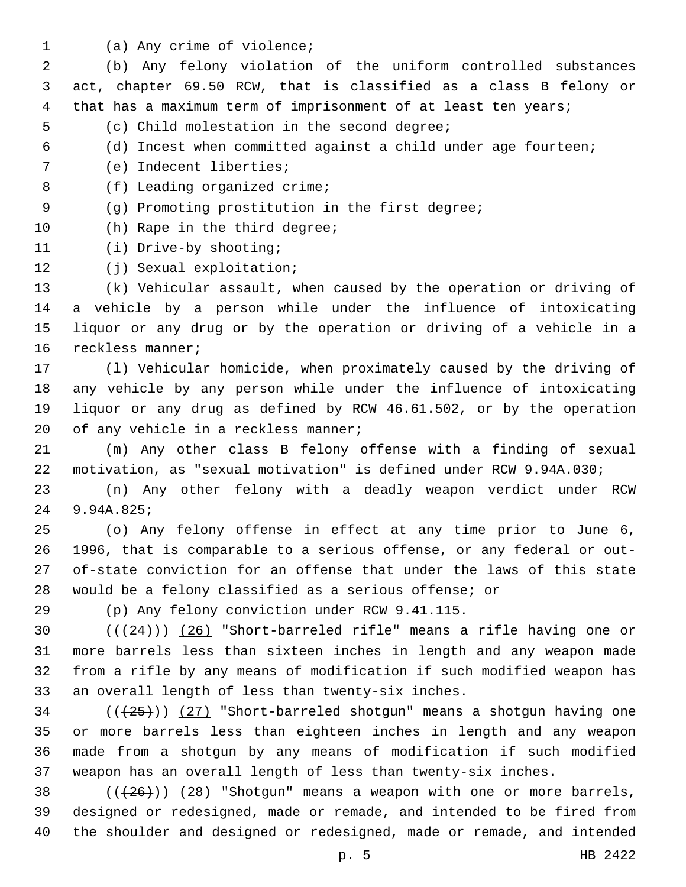- 
- 1 (a) Any crime of violence;

 (b) Any felony violation of the uniform controlled substances act, chapter 69.50 RCW, that is classified as a class B felony or that has a maximum term of imprisonment of at least ten years;

- 5 (c) Child molestation in the second degree;
- (d) Incest when committed against a child under age fourteen;
- 7 (e) Indecent liberties;
- 8 (f) Leading organized crime;
- (g) Promoting prostitution in the first degree;
- 10 (h) Rape in the third degree;
- 11 (i) Drive-by shooting;
- 12 (j) Sexual exploitation;

 (k) Vehicular assault, when caused by the operation or driving of a vehicle by a person while under the influence of intoxicating liquor or any drug or by the operation or driving of a vehicle in a 16 reckless manner;

 (l) Vehicular homicide, when proximately caused by the driving of any vehicle by any person while under the influence of intoxicating liquor or any drug as defined by RCW 46.61.502, or by the operation 20 of any vehicle in a reckless manner;

 (m) Any other class B felony offense with a finding of sexual motivation, as "sexual motivation" is defined under RCW 9.94A.030;

 (n) Any other felony with a deadly weapon verdict under RCW 9.94A.825;24

 (o) Any felony offense in effect at any time prior to June 6, 1996, that is comparable to a serious offense, or any federal or out- of-state conviction for an offense that under the laws of this state would be a felony classified as a serious offense; or

(p) Any felony conviction under RCW 9.41.115.

 $((+24))$   $(26)$  "Short-barreled rifle" means a rifle having one or more barrels less than sixteen inches in length and any weapon made from a rifle by any means of modification if such modified weapon has 33 an overall length of less than twenty-six inches.

 ( $(\frac{25}{1})$ ) (27) "Short-barreled shotqun" means a shotqun having one or more barrels less than eighteen inches in length and any weapon made from a shotgun by any means of modification if such modified weapon has an overall length of less than twenty-six inches.

38  $((+26))$   $(28)$  "Shotgun" means a weapon with one or more barrels, designed or redesigned, made or remade, and intended to be fired from the shoulder and designed or redesigned, made or remade, and intended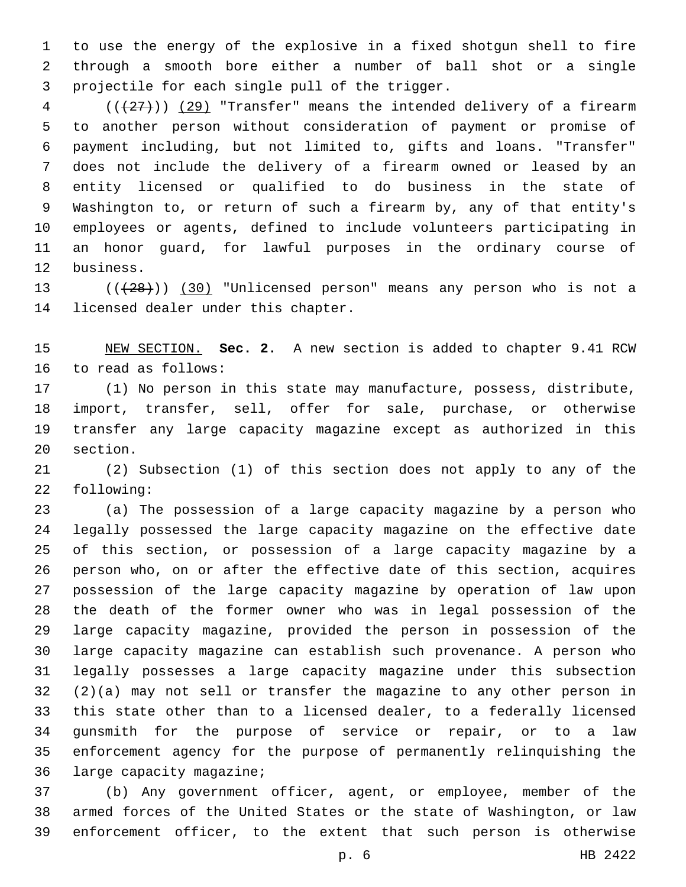to use the energy of the explosive in a fixed shotgun shell to fire through a smooth bore either a number of ball shot or a single 3 projectile for each single pull of the trigger.

 (( $\left(\frac{27}{1}\right)$ ) (29) "Transfer" means the intended delivery of a firearm to another person without consideration of payment or promise of payment including, but not limited to, gifts and loans. "Transfer" does not include the delivery of a firearm owned or leased by an entity licensed or qualified to do business in the state of Washington to, or return of such a firearm by, any of that entity's employees or agents, defined to include volunteers participating in an honor guard, for lawful purposes in the ordinary course of 12 business.

13 (( $(28)$ )) (30) "Unlicensed person" means any person who is not a 14 licensed dealer under this chapter.

 NEW SECTION. **Sec. 2.** A new section is added to chapter 9.41 RCW 16 to read as follows:

 (1) No person in this state may manufacture, possess, distribute, import, transfer, sell, offer for sale, purchase, or otherwise transfer any large capacity magazine except as authorized in this 20 section.

 (2) Subsection (1) of this section does not apply to any of the 22 following:

 (a) The possession of a large capacity magazine by a person who legally possessed the large capacity magazine on the effective date of this section, or possession of a large capacity magazine by a person who, on or after the effective date of this section, acquires possession of the large capacity magazine by operation of law upon the death of the former owner who was in legal possession of the large capacity magazine, provided the person in possession of the large capacity magazine can establish such provenance. A person who legally possesses a large capacity magazine under this subsection (2)(a) may not sell or transfer the magazine to any other person in this state other than to a licensed dealer, to a federally licensed gunsmith for the purpose of service or repair, or to a law enforcement agency for the purpose of permanently relinquishing the 36 large capacity magazine;

 (b) Any government officer, agent, or employee, member of the armed forces of the United States or the state of Washington, or law enforcement officer, to the extent that such person is otherwise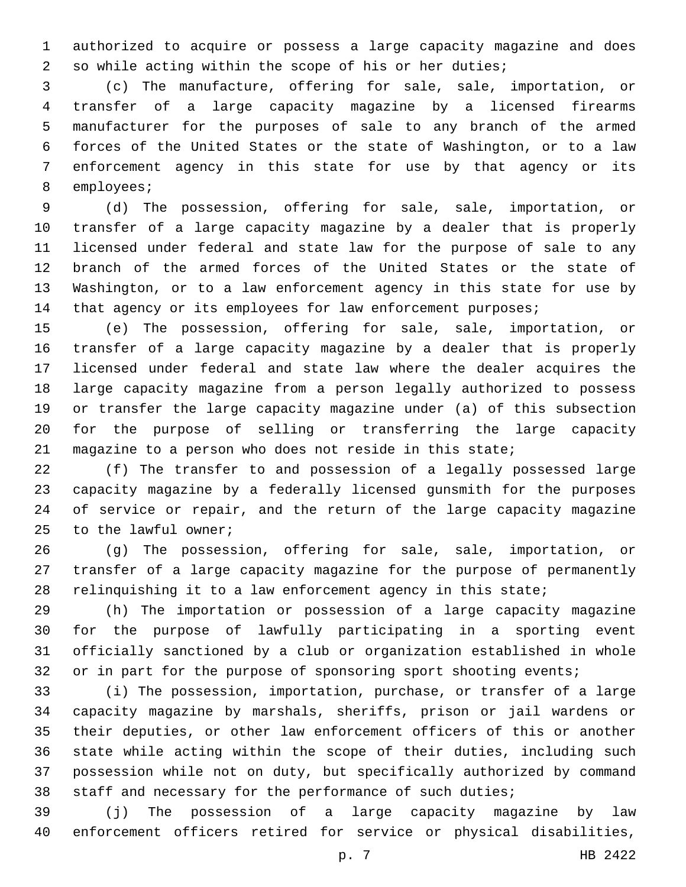authorized to acquire or possess a large capacity magazine and does so while acting within the scope of his or her duties;

 (c) The manufacture, offering for sale, sale, importation, or transfer of a large capacity magazine by a licensed firearms manufacturer for the purposes of sale to any branch of the armed forces of the United States or the state of Washington, or to a law enforcement agency in this state for use by that agency or its 8 employees;

 (d) The possession, offering for sale, sale, importation, or transfer of a large capacity magazine by a dealer that is properly licensed under federal and state law for the purpose of sale to any branch of the armed forces of the United States or the state of Washington, or to a law enforcement agency in this state for use by 14 that agency or its employees for law enforcement purposes;

 (e) The possession, offering for sale, sale, importation, or transfer of a large capacity magazine by a dealer that is properly licensed under federal and state law where the dealer acquires the large capacity magazine from a person legally authorized to possess or transfer the large capacity magazine under (a) of this subsection for the purpose of selling or transferring the large capacity magazine to a person who does not reside in this state;

 (f) The transfer to and possession of a legally possessed large capacity magazine by a federally licensed gunsmith for the purposes of service or repair, and the return of the large capacity magazine 25 to the lawful owner;

 (g) The possession, offering for sale, sale, importation, or transfer of a large capacity magazine for the purpose of permanently relinquishing it to a law enforcement agency in this state;

 (h) The importation or possession of a large capacity magazine for the purpose of lawfully participating in a sporting event officially sanctioned by a club or organization established in whole 32 or in part for the purpose of sponsoring sport shooting events;

 (i) The possession, importation, purchase, or transfer of a large capacity magazine by marshals, sheriffs, prison or jail wardens or their deputies, or other law enforcement officers of this or another state while acting within the scope of their duties, including such possession while not on duty, but specifically authorized by command staff and necessary for the performance of such duties;

 (j) The possession of a large capacity magazine by law enforcement officers retired for service or physical disabilities,